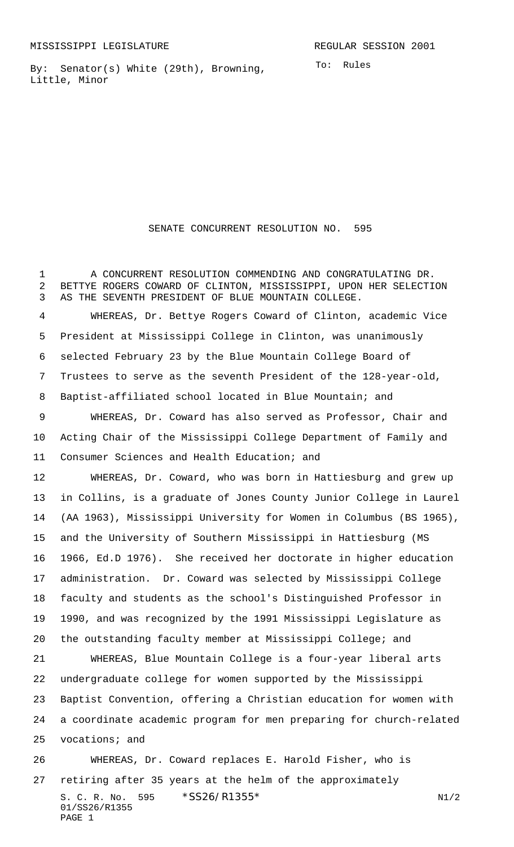MISSISSIPPI LEGISLATURE **REGULAR SESSION 2001** 

By: Senator(s) White (29th), Browning, Little, Minor

To: Rules

## SENATE CONCURRENT RESOLUTION NO. 595

 A CONCURRENT RESOLUTION COMMENDING AND CONGRATULATING DR. BETTYE ROGERS COWARD OF CLINTON, MISSISSIPPI, UPON HER SELECTION AS THE SEVENTH PRESIDENT OF BLUE MOUNTAIN COLLEGE. WHEREAS, Dr. Bettye Rogers Coward of Clinton, academic Vice President at Mississippi College in Clinton, was unanimously selected February 23 by the Blue Mountain College Board of Trustees to serve as the seventh President of the 128-year-old, Baptist-affiliated school located in Blue Mountain; and WHEREAS, Dr. Coward has also served as Professor, Chair and Acting Chair of the Mississippi College Department of Family and Consumer Sciences and Health Education; and WHEREAS, Dr. Coward, who was born in Hattiesburg and grew up in Collins, is a graduate of Jones County Junior College in Laurel (AA 1963), Mississippi University for Women in Columbus (BS 1965), and the University of Southern Mississippi in Hattiesburg (MS 1966, Ed.D 1976). She received her doctorate in higher education administration. Dr. Coward was selected by Mississippi College faculty and students as the school's Distinguished Professor in 1990, and was recognized by the 1991 Mississippi Legislature as the outstanding faculty member at Mississippi College; and WHEREAS, Blue Mountain College is a four-year liberal arts undergraduate college for women supported by the Mississippi Baptist Convention, offering a Christian education for women with a coordinate academic program for men preparing for church-related vocations; and WHEREAS, Dr. Coward replaces E. Harold Fisher, who is retiring after 35 years at the helm of the approximately

S. C. R. No. 595  $*SS26/R1355*$  N1/2 01/SS26/R1355 PAGE 1